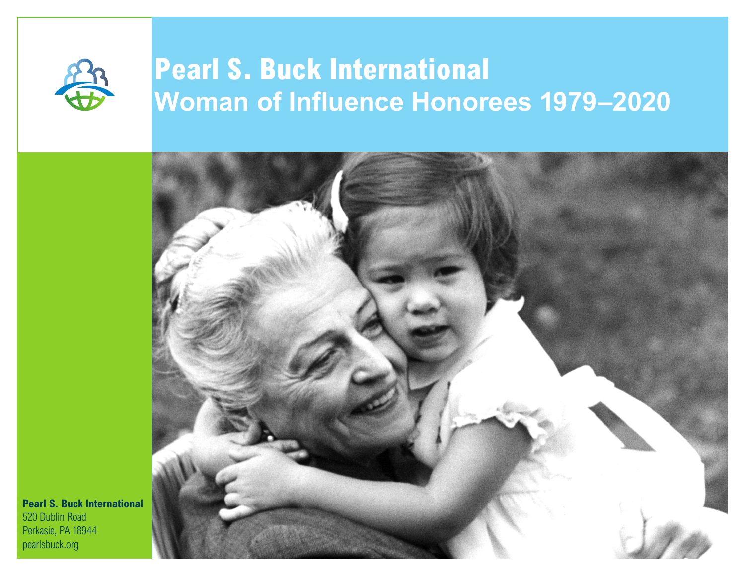

# **Pearl S. Buck International Woman of Influence Honorees 1979–2020**



**Pearl S. Buck International** 520 Dublin Road Perkasie, PA 18944 pearlsbuck.org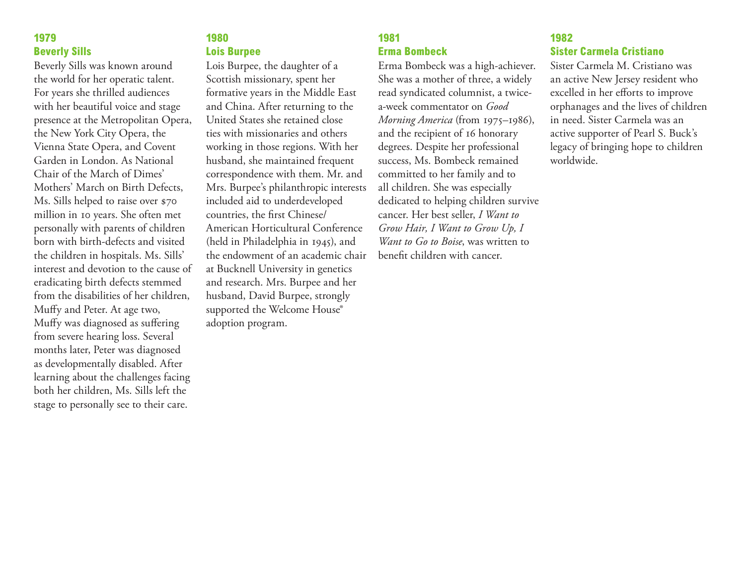#### **1979 Beverly Sills**

Beverly Sills was known around the world for her operatic talent. For years she thrilled audiences with her beautiful voice and stage presence at the Metropolitan Opera, the New York City Opera, the Vienna State Opera, and Covent Garden in London. As National Chair of the March of Dimes' Mothers' March on Birth Defects, Ms. Sills helped to raise over \$70 million in 10 years. She often met personally with parents of children born with birth-defects and visited the children in hospitals. Ms. Sills' interest and devotion to the cause of eradicating birth defects stemmed from the disabilities of her children, Muffy and Peter. At age two, Muffy was diagnosed as suffering from severe hearing loss. Several months later, Peter was diagnosed as developmentally disabled. After learning about the challenges facing both her children, Ms. Sills left the stage to personally see to their care.

#### **1980 Lois Burpee**

Lois Burpee, the daughter of a Scottish missionary, spent her formative years in the Middle East and China. After returning to the United States she retained close ties with missionaries and others working in those regions. With her husband, she maintained frequent correspondence with them. Mr. and Mrs. Burpee's philanthropic interests included aid to underdeveloped countries, the first Chinese/ American Horticultural Conference (held in Philadelphia in 1945), and the endowment of an academic chair at Bucknell University in genetics and research. Mrs. Burpee and her husband, David Burpee, strongly supported the Welcome House® adoption program.

#### **1981 Erma Bombeck**

Erma Bombeck was a high-achiever. She was a mother of three, a widely read syndicated columnist, a twicea-week commentator on *Good Morning America* (from 1975–1986), and the recipient of 16 honorary degrees. Despite her professional success, Ms. Bombeck remained committed to her family and to all children. She was especially dedicated to helping children survive cancer. Her best seller, *I Want to Grow Hair, I Want to Grow Up, I Want to Go to Boise*, was written to benefit children with cancer.

#### **1982 Sister Carmela Cristiano**

Sister Carmela M. Cristiano was an active New Jersey resident who excelled in her efforts to improve orphanages and the lives of children in need. Sister Carmela was an active supporter of Pearl S. Buck's legacy of bringing hope to children worldwide.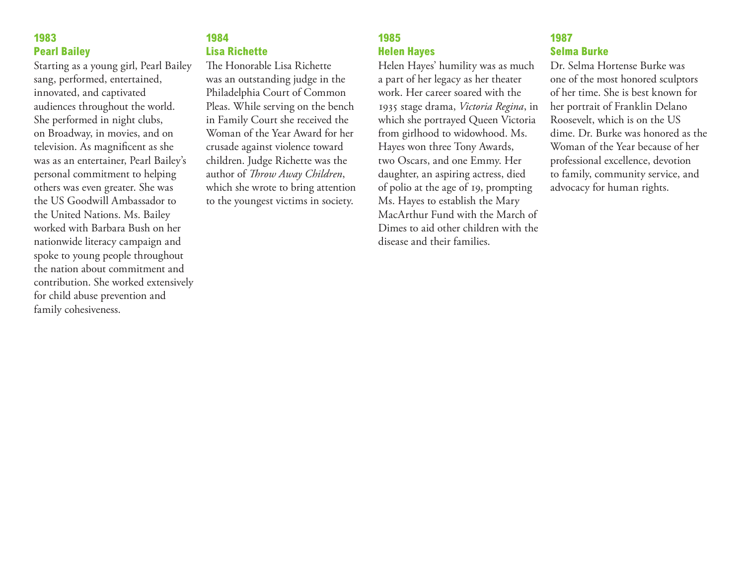#### **1983 Pearl Bailey**

Starting as a young girl, Pearl Bailey sang, performed, entertained, innovated, and captivated audiences throughout the world. She performed in night clubs, on Broadway, in movies, and on television. As magnificent as she was as an entertainer, Pearl Bailey's personal commitment to helping others was even greater. She was the US Goodwill Ambassador to the United Nations. Ms. Bailey worked with Barbara Bush on her nationwide literacy campaign and spoke to young people throughout the nation about commitment and contribution. She worked extensively for child abuse prevention and family cohesiveness.

# **1984 Lisa Richette**

The Honorable Lisa Richette was an outstanding judge in the Philadelphia Court of Common Pleas. While serving on the bench in Family Court she received the Woman of the Year Award for her crusade against violence toward children. Judge Richette was the author of *Throw Away Children*, which she wrote to bring attention to the youngest victims in society.

# **1985 Helen Hayes**

Helen Hayes' humility was as much a part of her legacy as her theater work. Her career soared with the 1935 stage drama, *Victoria Regina*, in which she portrayed Queen Victoria from girlhood to widowhood. Ms. Hayes won three Tony Awards, two Oscars, and one Emmy. Her daughter, an aspiring actress, died of polio at the age of 19, prompting Ms. Hayes to establish the Mary MacArthur Fund with the March of Dimes to aid other children with the disease and their families.

# **1987 Selma Burke**

Dr. Selma Hortense Burke was one of the most honored sculptors of her time. She is best known for her portrait of Franklin Delano Roosevelt, which is on the US dime. Dr. Burke was honored as the Woman of the Year because of her professional excellence, devotion to family, community service, and advocacy for human rights.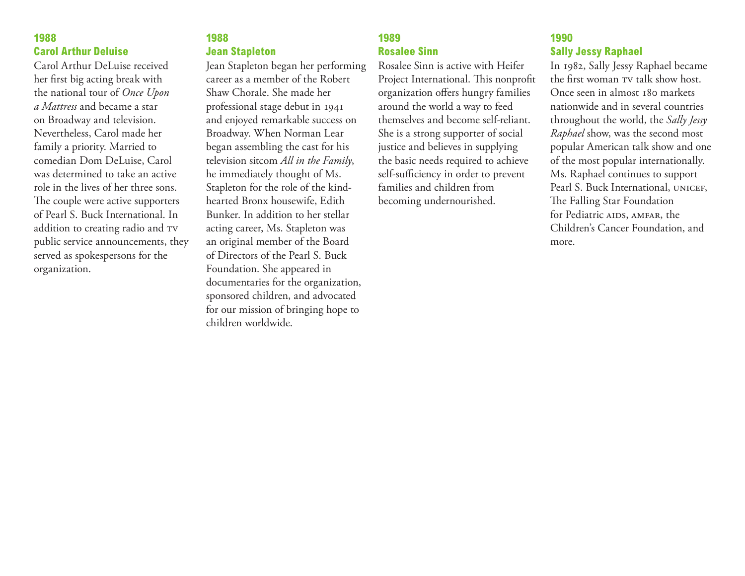#### **1988 Carol Arthur Deluise**

Carol Arthur DeLuise received her first big acting break with the national tour of *Once Upon a Mattress* and became a star on Broadway and television. Nevertheless, Carol made her family a priority. Married to comedian Dom DeLuise, Carol was determined to take an active role in the lives of her three sons. The couple were active supporters of Pearl S. Buck International. In addition to creating radio and TV public service announcements, they served as spokespersons for the organization.

## **1988 Jean Stapleton**

Jean Stapleton began her performing career as a member of the Robert Shaw Chorale. She made her professional stage debut in 1941 and enjoyed remarkable success on Broadway. When Norman Lear began assembling the cast for his television sitcom *All in the Family*, he immediately thought of Ms. Stapleton for the role of the kindhearted Bronx housewife, Edith Bunker. In addition to her stellar acting career, Ms. Stapleton was an original member of the Board of Directors of the Pearl S. Buck Foundation. She appeared in documentaries for the organization, sponsored children, and advocated for our mission of bringing hope to children worldwide.

# **1989 Rosalee Sinn**

Rosalee Sinn is active with Heifer Project International. This nonprofit organization offers hungry families around the world a way to feed themselves and become self-reliant. She is a strong supporter of social justice and believes in supplying the basic needs required to achieve self-sufficiency in order to prevent families and children from becoming undernourished.

#### **1990 Sally Jessy Raphael**

In 1982, Sally Jessy Raphael became the first woman TV talk show host. Once seen in almost 180 markets nationwide and in several countries throughout the world, the *Sally Jessy Raphael* show, was the second most popular American talk show and one of the most popular internationally. Ms. Raphael continues to support Pearl S. Buck International, UNICEF, The Falling Star Foundation for Pediatric AIDS, AMFAR, the Children's Cancer Foundation, and more.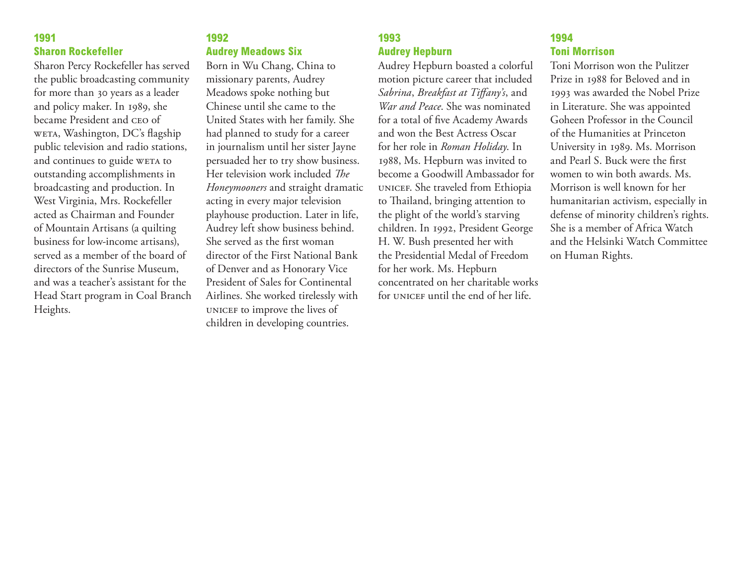#### **1991 Sharon Rockefeller**

Sharon Percy Rockefeller has served the public broadcasting community for more than 30 years as a leader and policy maker. In 1989, she became President and ceo of weta, Washington, DC's flagship public television and radio stations, and continues to guide WETA to outstanding accomplishments in broadcasting and production. In West Virginia, Mrs. Rockefeller acted as Chairman and Founder of Mountain Artisans (a quilting business for low-income artisans), served as a member of the board of directors of the Sunrise Museum, and was a teacher's assistant for the Head Start program in Coal Branch Heights.

## **1992 Audrey Meadows Six**

Born in Wu Chang, China to missionary parents, Audrey Meadows spoke nothing but Chinese until she came to the United States with her family. She had planned to study for a career in journalism until her sister Jayne persuaded her to try show business. Her television work included *The Honeymooners* and straight dramatic acting in every major television playhouse production. Later in life, Audrey left show business behind. She served as the first woman director of the First National Bank of Denver and as Honorary Vice President of Sales for Continental Airlines. She worked tirelessly with unicef to improve the lives of children in developing countries.

# **1993 Audrey Hepburn**

Audrey Hepburn boasted a colorful motion picture career that included *Sabrina*, *Breakfast at Tiffany's*, and *War and Peace*. She was nominated for a total of five Academy Awards and won the Best Actress Oscar for her role in *Roman Holiday*. In 1988, Ms. Hepburn was invited to become a Goodwill Ambassador for unicef. She traveled from Ethiopia to Thailand, bringing attention to the plight of the world's starving children. In 1992, President George H. W. Bush presented her with the Presidential Medal of Freedom for her work. Ms. Hepburn concentrated on her charitable works for UNICEF until the end of her life.

# **1994 Toni Morrison**

Toni Morrison won the Pulitzer Prize in 1988 for Beloved and in 1993 was awarded the Nobel Prize in Literature. She was appointed Goheen Professor in the Council of the Humanities at Princeton University in 1989. Ms. Morrison and Pearl S. Buck were the first women to win both awards. Ms. Morrison is well known for her humanitarian activism, especially in defense of minority children's rights. She is a member of Africa Watch and the Helsinki Watch Committee on Human Rights.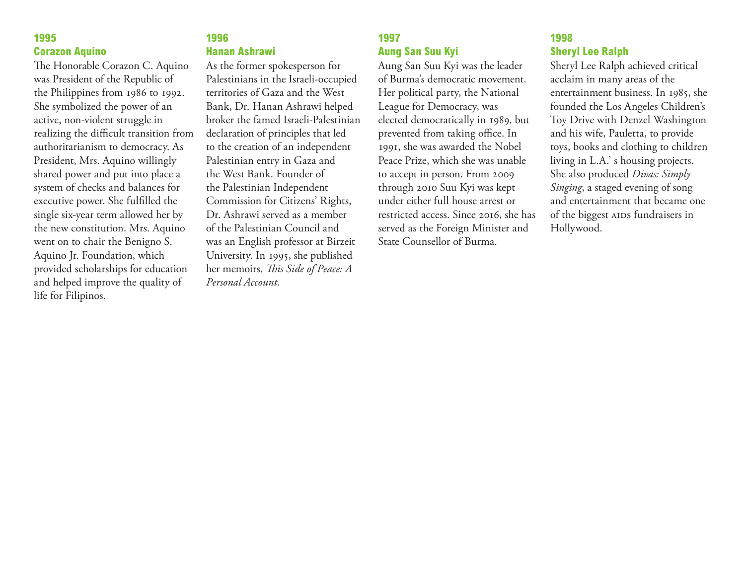#### **1995 Corazon Aquino**

The Honorable Corazon C. Aquino was President of the Republic of the Philippines from 1986 to 1992. She symbolized the power of an active, non-violent struggle in realizing the difficult transition from authoritarianism to democracy. As President, Mrs. Aquino willingly shared power and put into place a system of checks and balances for executive power. She fulfilled the single six-year term allowed her by the new constitution. Mrs. Aquino went on to chair the Benigno S. Aquino Jr. Foundation, which provided scholarships for education and helped improve the quality of life for Filipinos.

## **1996 Hanan Ashrawi**

As the former spokesperson for Palestinians in the Israeli-occupied territories of Gaza and the West Bank, Dr. Hanan Ashrawi helped broker the famed Israeli-Palestinian declaration of principles that led to the creation of an independent Palestinian entry in Gaza and the West Bank. Founder of the Palestinian Independent Commission for Citizens' Rights, Dr. Ashrawi served as a member of the Palestinian Council and was an English professor at Birzeit University. In 1995, she published her memoirs, *This Side of Peace: A Personal Account*.

# **1997 Aung San Suu Kyi**

Aung San Suu Kyi was the leader of Burma's democratic movement. Her political party, the National League for Democracy, was elected democratically in 1989, but prevented from taking office. In 1991, she was awarded the Nobel Peace Prize, which she was unable to accept in person. From 2009 through 2010 Suu Kyi was kept under either full house arrest or restricted access. Since 2016, she has served as the Foreign Minister and State Counsellor of Burma.

## **1998 Sheryl Lee Ralph**

Sheryl Lee Ralph achieved critical acclaim in many areas of the entertainment business. In 1985, she founded the Los Angeles Children's Toy Drive with Denzel Washington and his wife, Pauletta, to provide toys, books and clothing to children living in L.A.' s housing projects. She also produced *Divas: Simply Singing*, a staged evening of song and entertainment that became one of the biggest AIDS fundraisers in Hollywood.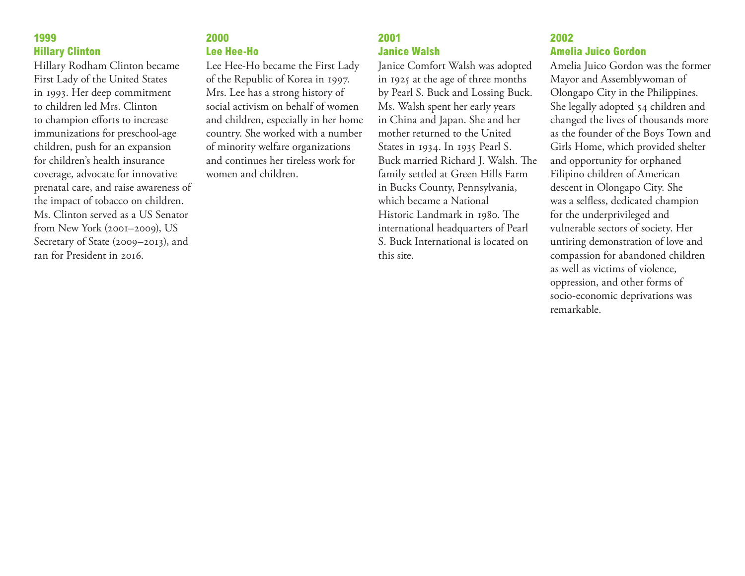#### **1999 Hillary Clinton**

Hillary Rodham Clinton became First Lady of the United States in 1993. Her deep commitment to children led Mrs. Clinton to champion efforts to increase immunizations for preschool-age children, push for an expansion for children's health insurance coverage, advocate for innovative prenatal care, and raise awareness of the impact of tobacco on children. Ms. Clinton served as a US Senator from New York (2001–2009), US Secretary of State (2009–2013), and ran for President in 2016.

### **2000 Lee Hee-Ho**

Lee Hee-Ho became the First Lady of the Republic of Korea in 1997. Mrs. Lee has a strong history of social activism on behalf of women and children, especially in her home country. She worked with a number of minority welfare organizations and continues her tireless work for women and children.

# **2001 Janice Walsh**

Janice Comfort Walsh was adopted in 1925 at the age of three months by Pearl S. Buck and Lossing Buck. Ms. Walsh spent her early years in China and Japan. She and her mother returned to the United States in 1934. In 1935 Pearl S. Buck married Richard J. Walsh. The family settled at Green Hills Farm in Bucks County, Pennsylvania, which became a National Historic Landmark in 1980. The international headquarters of Pearl S. Buck International is located on this site.

## **2002 Amelia Juico Gordon**

Amelia Juico Gordon was the former Mayor and Assemblywoman of Olongapo City in the Philippines. She legally adopted 54 children and changed the lives of thousands more as the founder of the Boys Town and Girls Home, which provided shelter and opportunity for orphaned Filipino children of American descent in Olongapo City. She was a selfless, dedicated champion for the underprivileged and vulnerable sectors of society. Her untiring demonstration of love and compassion for abandoned children as well as victims of violence, oppression, and other forms of socio-economic deprivations was remarkable.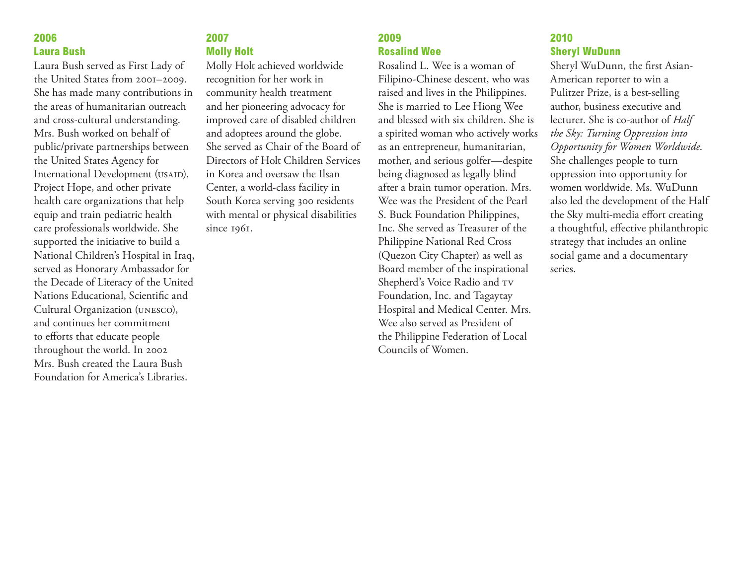#### **2006 Laura Bush**

Laura Bush served as First Lady of the United States from 2001–2009. She has made many contributions in the areas of humanitarian outreach and cross-cultural understanding. Mrs. Bush worked on behalf of public/private partnerships between the United States Agency for International Development (USAID), Project Hope, and other private health care organizations that help equip and train pediatric health care professionals worldwide. She supported the initiative to build a National Children's Hospital in Iraq, served as Honorary Ambassador for the Decade of Literacy of the United Nations Educational, Scientific and Cultural Organization (unesco), and continues her commitment to efforts that educate people throughout the world. In 2002 Mrs. Bush created the Laura Bush Foundation for America's Libraries.

## **2007 Molly Holt**

Molly Holt achieved worldwide recognition for her work in community health treatment and her pioneering advocacy for improved care of disabled children and adoptees around the globe. She served as Chair of the Board of Directors of Holt Children Services in Korea and oversaw the Ilsan Center, a world-class facility in South Korea serving 300 residents with mental or physical disabilities since 1961.

# **2009 Rosalind Wee**

Rosalind L. Wee is a woman of Filipino-Chinese descent, who was raised and lives in the Philippines. She is married to Lee Hiong Wee and blessed with six children. She is a spirited woman who actively works as an entrepreneur, humanitarian, mother, and serious golfer—despite being diagnosed as legally blind after a brain tumor operation. Mrs. Wee was the President of the Pearl S. Buck Foundation Philippines, Inc. She served as Treasurer of the Philippine National Red Cross (Quezon City Chapter) as well as Board member of the inspirational Shepherd's Voice Radio and  $\mathsf{rv}$ Foundation, Inc. and Tagaytay Hospital and Medical Center. Mrs. Wee also served as President of the Philippine Federation of Local Councils of Women.

### **2010 Sheryl WuDunn**

Sheryl WuDunn, the first Asian-American reporter to win a Pulitzer Prize, is a best-selling author, business executive and lecturer. She is co-author of *Half the Sky: Turning Oppression into Opportunity for Women Worldwide*. She challenges people to turn oppression into opportunity for women worldwide. Ms. WuDunn also led the development of the Half the Sky multi-media effort creating a thoughtful, effective philanthropic strategy that includes an online social game and a documentary series.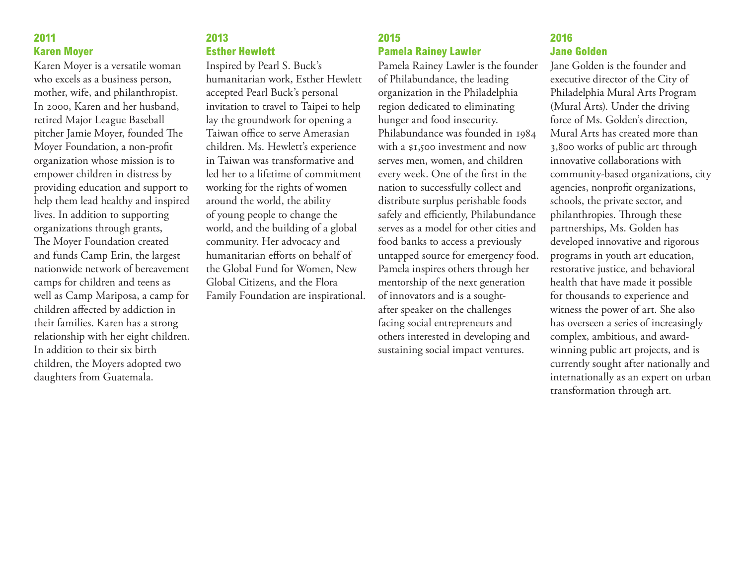#### **2011 Karen Moyer**

Karen Moyer is a versatile woman who excels as a business person, mother, wife, and philanthropist. In 2000, Karen and her husband, retired Major League Baseball pitcher Jamie Moyer, founded The Moyer Foundation, a non-profit organization whose mission is to empower children in distress by providing education and support to help them lead healthy and inspired lives. In addition to supporting organizations through grants, The Moyer Foundation created and funds Camp Erin, the largest nationwide network of bereavement camps for children and teens as well as Camp Mariposa, a camp for children affected by addiction in their families. Karen has a strong relationship with her eight children. In addition to their six birth children, the Moyers adopted two daughters from Guatemala.

## **2013 Esther Hewlett**

Inspired by Pearl S. Buck's humanitarian work, Esther Hewlett accepted Pearl Buck's personal invitation to travel to Taipei to help lay the groundwork for opening a Taiwan office to serve Amerasian children. Ms. Hewlett's experience in Taiwan was transformative and led her to a lifetime of commitment working for the rights of women around the world, the ability of young people to change the world, and the building of a global community. Her advocacy and humanitarian efforts on behalf of the Global Fund for Women, New Global Citizens, and the Flora Family Foundation are inspirational.

## **2015 Pamela Rainey Lawler**

Pamela Rainey Lawler is the founder of Philabundance, the leading organization in the Philadelphia region dedicated to eliminating hunger and food insecurity. Philabundance was founded in 1984 with a \$1,500 investment and now serves men, women, and children every week. One of the first in the nation to successfully collect and distribute surplus perishable foods safely and efficiently, Philabundance serves as a model for other cities and food banks to access a previously untapped source for emergency food. Pamela inspires others through her mentorship of the next generation of innovators and is a soughtafter speaker on the challenges facing social entrepreneurs and others interested in developing and sustaining social impact ventures.

## **2016 Jane Golden**

Jane Golden is the founder and executive director of the City of Philadelphia Mural Arts Program (Mural Arts). Under the driving force of Ms. Golden's direction, Mural Arts has created more than 3,800 works of public art through innovative collaborations with community-based organizations, city agencies, nonprofit organizations, schools, the private sector, and philanthropies. Through these partnerships, Ms. Golden has developed innovative and rigorous programs in youth art education, restorative justice, and behavioral health that have made it possible for thousands to experience and witness the power of art. She also has overseen a series of increasingly complex, ambitious, and awardwinning public art projects, and is currently sought after nationally and internationally as an expert on urban transformation through art.